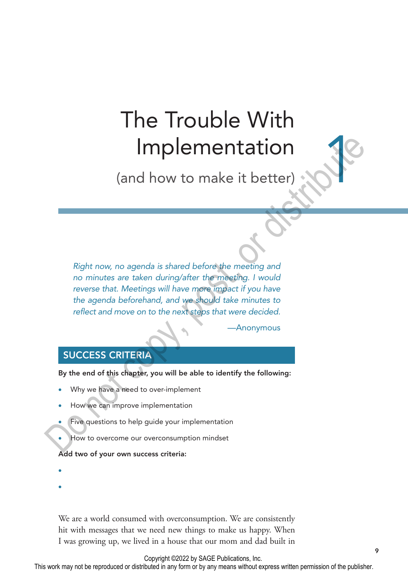# The Trouble With Implementation

(and how to make it better)

*Right now, no agenda is shared before the meeting and no minutes are taken during/after the meeting. I would*  reverse that. Meetings will have more impact if you have *the agenda beforehand, and we should take minutes to reflect and move on to the next steps that were decided.* Implementation<br>
(and how to make it better)<br>
Right now, no agenda is shared before the meeting and<br>
no minutes are taken during/after the meeting and<br>
not merged a beforehand, and we not determines to<br>
the agenda beforehan

**Anonymous** 

# SUCCESS CRITERIA

By the end of this chapter, you will be able to identify the following:

- Why we have a need to over-implement
- How we can improve implementation
- Five questions to help guide your implementation
- How to overcome our overconsumption mindset

Add two of your own success criteria:

• 

• 

We are a world consumed with overconsumption. We are consistently hit with messages that we need new things to make us happy. When I was growing up, we lived in a house that our mom and dad built in

Copyright ©2022 by SAGE Publications, Inc.

This work may not be reproduced or distributed in any form or by any means without express written permission of the publisher.

18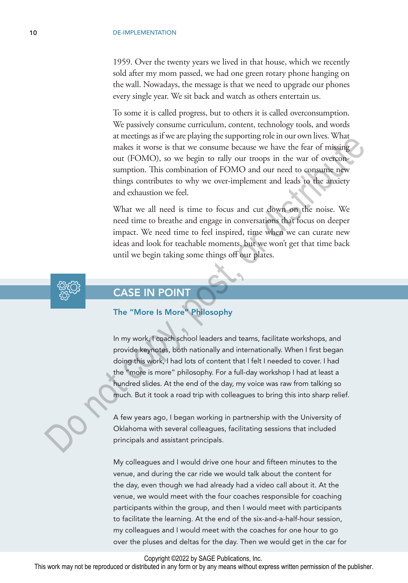1959. Over the twenty years we lived in that house, which we recently sold after my mom passed, we had one green rotary phone hanging on the wall. Nowadays, the message is that we need to upgrade our phones every single year. We sit back and watch as others entertain us.

To some it is called progress, but to others it is called overconsumption. We passively consume curriculum, content, technology tools, and words at meetings as if we are playing the supporting role in our own lives. What makes it worse is that we consume because we have the fear of missing out (FOMO), so we begin to rally our troops in the war of overconsumption. This combination of FOMO and our need to consume new things contributes to why we over-implement and leads to the anxiety and exhaustion we feel.

What we all need is time to focus and cut down on the noise. We need time to breathe and engage in conversations that focus on deeper impact. We need time to feel inspired, time when we can curate new ideas and look for teachable moments, but we won't get that time back until we begin taking some things off our plates.



# CASE IN POINT

### The "More Is More" Philosophy

In my work, I coach school leaders and teams, facilitate workshops, and provide keynotes, both nationally and internationally. When I first began doing this work, I had lots of content that I felt I needed to cover. I had the "more is more" philosophy. For a full-day workshop I had at least a hundred slides. At the end of the day, my voice was raw from talking so much. But it took a road trip with colleagues to bring this into sharp relief. ancelear is in weare paying unsuppering to emotion womines. what is make it wore is that we consume because we have the fear of missing out (FOMO), so we begin to rally our troops in the war of oversigned thing contributes

A few years ago, I began working in partnership with the University of Oklahoma with several colleagues, facilitating sessions that included principals and assistant principals.

My colleagues and I would drive one hour and fifteen minutes to the venue, and during the car ride we would talk about the content for the day, even though we had already had a video call about it. At the venue, we would meet with the four coaches responsible for coaching participants within the group, and then I would meet with participants to facilitate the learning. At the end of the six-and-a-half-hour session, my colleagues and I would meet with the coaches for one hour to go over the pluses and deltas for the day. Then we would get in the car for

Copyright ©2022 by SAGE Publications, Inc.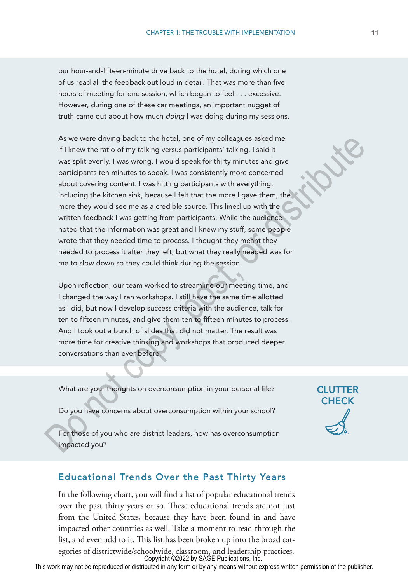our hour-and-fifteen-minute drive back to the hotel, during which one of us read all the feedback out loud in detail. That was more than five hours of meeting for one session, which began to feel . . . excessive. However, during one of these car meetings, an important nugget of truth came out about how much *doing* I was doing during my sessions.

As we were driving back to the hotel, one of my colleagues asked me if I knew the ratio of my talking versus participants' talking. I said it was split evenly. I was wrong. I would speak for thirty minutes and give participants ten minutes to speak. I was consistently more concerned about covering content. I was hitting participants with everything, including the kitchen sink, because I felt that the more I gave them, the more they would see me as a credible source. This lined up with the written feedback I was getting from participants. While the audience noted that the information was great and I knew my stuff, some people wrote that they needed time to process. I thought they meant they needed to process it after they left, but what they really needed was for me to slow down so they could think during the session. As we were driving back to the hotel, one of my colleagues asked metally in Section is if it liknew the ratio of my talking versus participants talking. I said it was split evenly. I was worng. I would speak for thirty mi

Upon reflection, our team worked to streamline our meeting time, and I changed the way I ran workshops. I still have the same time allotted as I did, but now I develop success criteria with the audience, talk for ten to fifteen minutes, and give them ten to fifteen minutes to process. And I took out a bunch of slides that did not matter. The result was more time for creative thinking and workshops that produced deeper conversations than ever before.

What are your thoughts on overconsumption in your personal life?

Do you have concerns about overconsumption within your school?

For those of you who are district leaders, how has overconsumption impacted you?

# Educational Trends Over the Past Thirty Years

In the following chart, you will find a list of popular educational trends over the past thirty years or so. These educational trends are not just from the United States, because they have been found in and have impacted other countries as well. Take a moment to read through the list, and even add to it. This list has been broken up into the broad categories of districtwide/schoolwide, classroom, and leadership practices. Copyright ©2022 by SAGE Publications, Inc.

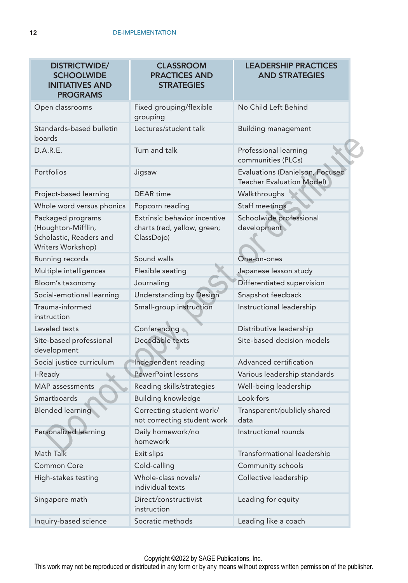| <b>DISTRICTWIDE/</b><br><b>SCHOOLWIDE</b><br><b>INITIATIVES AND</b><br><b>PROGRAMS</b>  | <b>CLASSROOM</b><br><b>PRACTICES AND</b><br><b>STRATEGIES</b>             | <b>LEADERSHIP PRACTICES</b><br><b>AND STRATEGIES</b>                |
|-----------------------------------------------------------------------------------------|---------------------------------------------------------------------------|---------------------------------------------------------------------|
| Open classrooms                                                                         | Fixed grouping/flexible<br>grouping                                       | No Child Left Behind                                                |
| Standards-based bulletin<br>boards                                                      | Lectures/student talk                                                     | <b>Building management</b>                                          |
| D.A.R.E.                                                                                | Turn and talk                                                             | Professional learning<br>communities (PLCs)                         |
| Portfolios                                                                              | Jigsaw                                                                    | Evaluations (Danielson, Focused<br><b>Teacher Evaluation Model)</b> |
| Project-based learning                                                                  | DEAR time                                                                 | Walkthroughs                                                        |
| Whole word versus phonics                                                               | Popcorn reading                                                           | Staff meetings                                                      |
| Packaged programs<br>(Houghton-Mifflin,<br>Scholastic, Readers and<br>Writers Workshop) | Extrinsic behavior incentive<br>charts (red, yellow, green;<br>ClassDojo) | Schoolwide professional<br>development                              |
| Running records                                                                         | Sound walls                                                               | One-on-ones                                                         |
| Multiple intelligences                                                                  | Flexible seating                                                          | Japanese lesson study                                               |
| Bloom's taxonomy                                                                        | Journaling                                                                | Differentiated supervision                                          |
| Social-emotional learning                                                               | Understanding by Design                                                   | Snapshot feedback                                                   |
| Trauma-informed<br>instruction                                                          | Small-group instruction                                                   | Instructional leadership                                            |
| Leveled texts                                                                           | Conferencing                                                              | Distributive leadership                                             |
| Site-based professional<br>development                                                  | Decodable texts                                                           | Site-based decision models                                          |
| Social justice curriculum                                                               | Independent reading                                                       | Advanced certification                                              |
| I-Ready                                                                                 | PowerPoint lessons                                                        | Various leadership standards                                        |
| <b>MAP</b> assessments                                                                  | Reading skills/strategies                                                 | Well-being leadership                                               |
| Smartboards                                                                             | <b>Building knowledge</b>                                                 | Look-fors                                                           |
| <b>Blended learning</b>                                                                 | Correcting student work/<br>not correcting student work                   | Transparent/publicly shared<br>data                                 |
| Personalized learning                                                                   | Daily homework/no<br>homework                                             | Instructional rounds                                                |
| Math Talk                                                                               | Exit slips                                                                | Transformational leadership                                         |
| <b>Common Core</b>                                                                      | Cold-calling                                                              | Community schools                                                   |
| High-stakes testing                                                                     | Whole-class novels/<br>individual texts                                   | Collective leadership                                               |
| Singapore math                                                                          | Direct/constructivist<br>instruction                                      | Leading for equity                                                  |
| Inquiry-based science                                                                   | Socratic methods                                                          | Leading like a coach                                                |

Copyright ©2022 by SAGE Publications, Inc.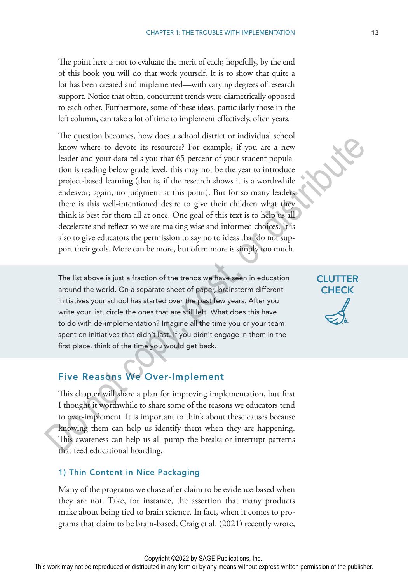The point here is not to evaluate the merit of each; hopefully, by the end of this book you will do that work yourself. It is to show that quite a lot has been created and implemented—with varying degrees of research support. Notice that often, concurrent trends were diametrically opposed to each other. Furthermore, some of these ideas, particularly those in the left column, can take a lot of time to implement effectively, often years.

The question becomes, how does a school district or individual school know where to devote its resources? For example, if you are a new leader and your data tells you that 65 percent of your student population is reading below grade level, this may not be the year to introduce project-based learning (that is, if the research shows it is a worthwhile endeavor; again, no judgment at this point). But for so many leaders there is this well-intentioned desire to give their children what they think is best for them all at once. One goal of this text is to help us all decelerate and reflect so we are making wise and informed choices. It is also to give educators the permission to say no to ideas that do not support their goals. More can be more, but often more is simply too much. In the upsation occounts, now to as a stato and state of manivula statoom<br>
In the upsate and your data relay by that is in sources? For example, if you are a new<br>
leader and your data relay by and level, this may not be th

The list above is just a fraction of the trends we have seen in education around the world. On a separate sheet of paper, brainstorm different initiatives your school has started over the past few years. After you write your list, circle the ones that are still left. What does this have to do with de-implementation? Imagine all the time you or your team spent on initiatives that didn't last. If you didn't engage in them in the first place, think of the time you would get back.

# Five Reasons We Over-Implement

This chapter will share a plan for improving implementation, but first I thought it worthwhile to share some of the reasons we educators tend to over-implement. It is important to think about these causes because knowing them can help us identify them when they are happening. This awareness can help us all pump the breaks or interrupt patterns that feed educational hoarding.

#### 1) Thin Content in Nice Packaging

Many of the programs we chase after claim to be evidence-based when they are not. Take, for instance, the assertion that many products make about being tied to brain science. In fact, when it comes to programs that claim to be brain-based, Craig et al. (2021) recently wrote,

**CLUTTER CHECK**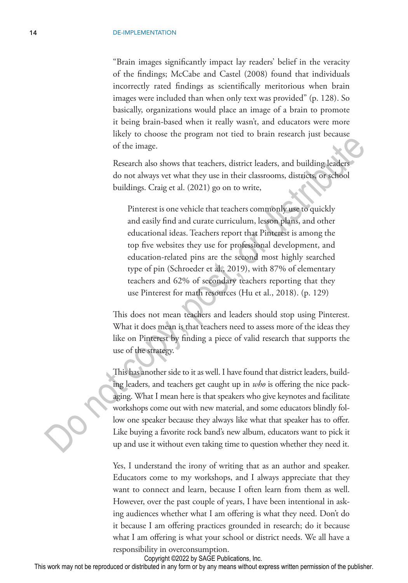"Brain images significantly impact lay readers' belief in the veracity of the findings; McCabe and Castel (2008) found that individuals incorrectly rated findings as scientifically meritorious when brain images were included than when only text was provided" (p. 128). So basically, organizations would place an image of a brain to promote it being brain-based when it really wasn't, and educators were more likely to choose the program not tied to brain research just because of the image.

Research also shows that teachers, district leaders, and building leaders do not always vet what they use in their classrooms, districts, or school buildings. Craig et al. (2021) go on to write,

Pinterest is one vehicle that teachers commonly use to quickly and easily find and curate curriculum, lesson plans, and other educational ideas. Teachers report that Pinterest is among the top five websites they use for professional development, and education-related pins are the second most highly searched type of pin (Schroeder et al., 2019), with 87% of elementary teachers and 62% of secondary teachers reporting that they use Pinterest for math resources (Hu et al., 2018). (p. 129) The streamental polynomial of the times.<br>
The streament of the timeses of the timeses of the timeses of the timeses of the timeses of the times of the times of the streament dividing Equipment do not always vert what they

This does not mean teachers and leaders should stop using Pinterest. What it does mean is that teachers need to assess more of the ideas they like on Pinterest by finding a piece of valid research that supports the use of the strategy.

This has another side to it as well. I have found that district leaders, building leaders, and teachers get caught up in *who* is offering the nice packaging. What I mean here is that speakers who give keynotes and facilitate workshops come out with new material, and some educators blindly follow one speaker because they always like what that speaker has to offer. Like buying a favorite rock band's new album, educators want to pick it up and use it without even taking time to question whether they need it.

Yes, I understand the irony of writing that as an author and speaker. Educators come to my workshops, and I always appreciate that they want to connect and learn, because I often learn from them as well. However, over the past couple of years, I have been intentional in asking audiences whether what I am offering is what they need. Don't do it because I am offering practices grounded in research; do it because what I am offering is what your school or district needs. We all have a responsibility in overconsumption.

Copyright ©2022 by SAGE Publications, Inc.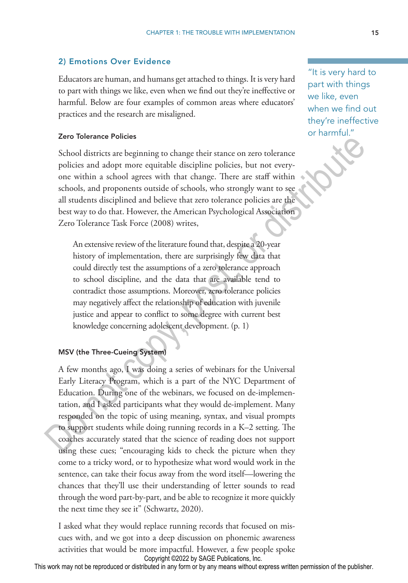### 2) Emotions Over Evidence

Educators are human, and humans get attached to things. It is very hard to part with things we like, even when we find out they're ineffective or harmful. Below are four examples of common areas where educators' practices and the research are misaligned.

#### Zero Tolerance Policies

School districts are beginning to change their stance on zero tolerance policies and adopt more equitable discipline policies, but not everyone within a school agrees with that change. There are staff within schools, and proponents outside of schools, who strongly want to see all students disciplined and believe that zero tolerance policies are the best way to do that. However, the American Psychological Association Zero Tolerance Task Force (2008) writes,

An extensive review of the literature found that, despite a 20-year history of implementation, there are surprisingly few data that could directly test the assumptions of a zero tolerance approach to school discipline, and the data that are available tend to contradict those assumptions. Moreover, zero tolerance policies may negatively affect the relationship of education with juvenile justice and appear to conflict to some degree with current best knowledge concerning adolescent development. (p. 1)

#### MSV (the Three-Cueing System)

A few months ago, I was doing a series of webinars for the Universal Early Literacy Program, which is a part of the NYC Department of Education. During one of the webinars, we focused on de-implementation, and I asked participants what they would de-implement. Many responded on the topic of using meaning, syntax, and visual prompts to support students while doing running records in a K–2 setting. The coaches accurately stated that the science of reading does not support using these cues; "encouraging kids to check the picture when they come to a tricky word, or to hypothesize what word would work in the sentence, can take their focus away from the word itself—lowering the chances that they'll use their understanding of letter sounds to read through the word part-by-part, and be able to recognize it more quickly the next time they see it" (Schwartz, 2020). **Exero ionerance Poites**<br>
School districts are beginning to change their stance on zero tolerance<br>
School distribute a beginning to change their stance on zero tolerance<br>
policies and adopt more equitable discipline polic

I asked what they would replace running records that focused on miscues with, and we got into a deep discussion on phonemic awareness activities that would be more impactful. However, a few people spoke Copyright ©2022 by SAGE Publications, Inc.

"It is very hard to part with things we like, even when we find out they're ineffective or harmful."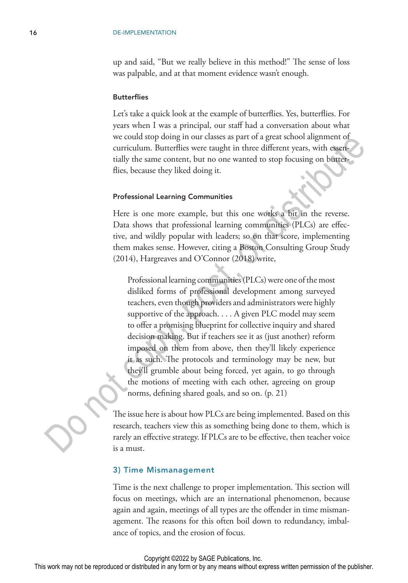up and said, "But we really believe in this method!" The sense of loss was palpable, and at that moment evidence wasn't enough.

#### **Butterflies**

Let's take a quick look at the example of butterflies. Yes, butterflies. For years when I was a principal, our staff had a conversation about what we could stop doing in our classes as part of a great school alignment of curriculum. Butterflies were taught in three different years, with essentially the same content, but no one wanted to stop focusing on butterflies, because they liked doing it.

#### Professional Learning Communities

Here is one more example, but this one works a bit in the reverse. Data shows that professional learning communities (PLCs) are effective, and wildly popular with leaders; so on that score, implementing them makes sense. However, citing a Boston Consulting Group Study (2014), Hargreaves and O'Connor (2018) write,

Professional learning communities (PLCs) were one of the most disliked forms of professional development among surveyed teachers, even though providers and administrators were highly supportive of the approach. . . . A given PLC model may seem to offer a promising blueprint for collective inquiry and shared decision making. But if teachers see it as (just another) reform imposed on them from above, then they'll likely experience it as such. The protocols and terminology may be new, but they'll grumble about being forced, yet again, to go through the motions of meeting with each other, agreeing on group norms, defining shared goals, and so on. (p. 21) we count stop doing in our classes as part or a great scnool angument of<br>verticulum. Butterflies were taught in three different years, with essentially the same content, but no one wanted to stop focusing on burear<br>flies,

The issue here is about how PLCs are being implemented. Based on this research, teachers view this as something being done to them, which is rarely an effective strategy. If PLCs are to be effective, then teacher voice is a must.

#### 3) Time Mismanagement

Time is the next challenge to proper implementation. This section will focus on meetings, which are an international phenomenon, because again and again, meetings of all types are the offender in time mismanagement. The reasons for this often boil down to redundancy, imbalance of topics, and the erosion of focus.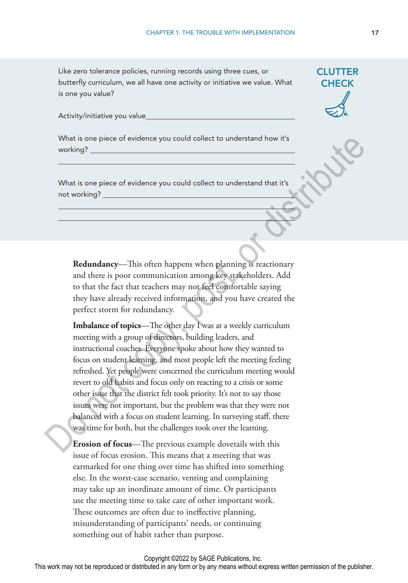Like zero tolerance policies, running records using three cues, or butterfly curriculum, we all have one activity or initiative we value. What is one you value?

Activity/initiative you value

What is one piece of evidence you could collect to understand how it's working?

What is one piece of evidence you could collect to understand that it's not working?

**Redundancy**—This often happens when planning is reactionary and there is poor communication among key stakeholders. Add to that the fact that teachers may not feel comfortable saying they have already received information, and you have created the perfect storm for redundancy.

**Imbalance of topics**—The other day I was at a weekly curriculum meeting with a group of directors, building leaders, and instructional coaches. Everyone spoke about how they wanted to focus on student learning, and most people left the meeting feeling refreshed. Yet people were concerned the curriculum meeting would revert to old habits and focus only on reacting to a crisis or some other issue that the district felt took priority. It's not to say those issues were not important, but the problem was that they were not balanced with a focus on student learning. In surveying staff, there was time for both, but the challenges took over the learning. What is one piece of evidence you could collect to understand how it's<br>
working?<br>
What is one piece of evidence you could collect to understand that it's<br>
not working?<br>
<br>
Not working?<br>
<br>
Do that the fact that teachers may

**Erosion of focus**—The previous example dovetails with this issue of focus erosion. This means that a meeting that was earmarked for one thing over time has shifted into something else. In the worst-case scenario, venting and complaining may take up an inordinate amount of time. Or participants use the meeting time to take care of other important work. These outcomes are often due to ineffective planning, misunderstanding of participants' needs, or continuing something out of habit rather than purpose.

**CLUTTER CHECK**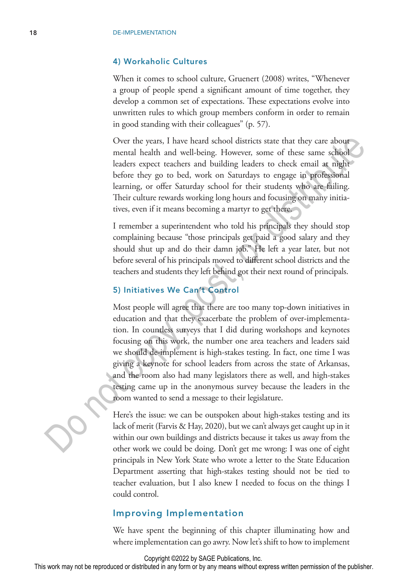#### 4) Workaholic Cultures

When it comes to school culture, Gruenert (2008) writes, "Whenever a group of people spend a significant amount of time together, they develop a common set of expectations. These expectations evolve into unwritten rules to which group members conform in order to remain in good standing with their colleagues" (p. 57).

Over the years, I have heard school districts state that they care about mental health and well-being. However, some of these same school leaders expect teachers and building leaders to check email at night before they go to bed, work on Saturdays to engage in professional learning, or offer Saturday school for their students who are failing. Their culture rewards working long hours and focusing on many initiatives, even if it means becoming a martyr to get there.

I remember a superintendent who told his principals they should stop complaining because "those principals get paid a good salary and they should shut up and do their damn job." He left a year later, but not before several of his principals moved to different school districts and the teachers and students they left behind got their next round of principals.

# 5) Initiatives We Can't Control

Most people will agree that there are too many top-down initiatives in education and that they exacerbate the problem of over-implementation. In countless surveys that I did during workshops and keynotes focusing on this work, the number one area teachers and leaders said we should de-implement is high-stakes testing. In fact, one time I was giving a keynote for school leaders from across the state of Arkansas, and the room also had many legislators there as well, and high-stakes testing came up in the anonymous survey because the leaders in the room wanted to send a message to their legislature. Over the years. I have heard school districts state that they care about<br>meanl healt hand well-being. However, some of these same school<br>leaders expect teachers and building leaders to check email at inght<br>before they go t

Here's the issue: we can be outspoken about high-stakes testing and its lack of merit (Farvis & Hay, 2020), but we can't always get caught up in it within our own buildings and districts because it takes us away from the other work we could be doing. Don't get me wrong: I was one of eight principals in New York State who wrote a letter to the State Education Department asserting that high-stakes testing should not be tied to teacher evaluation, but I also knew I needed to focus on the things I could control.

# Improving Implementation

We have spent the beginning of this chapter illuminating how and where implementation can go awry. Now let's shift to how to implement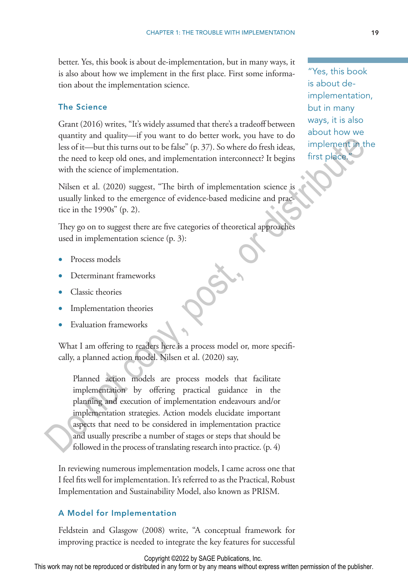better. Yes, this book is about de-implementation, but in many ways, it is also about how we implement in the first place. First some information about the implementation science.

# The Science

Grant (2016) writes, "It's widely assumed that there's a tradeoff between quantity and quality—if you want to do better work, you have to do less of it—but this turns out to be false" (p. 37). So where do fresh ideas, the need to keep old ones, and implementation interconnect? It begins with the science of implementation.

Nilsen et al. (2020) suggest, "The birth of implementation science is usually linked to the emergence of evidence-based medicine and practice in the 1990s" (p. 2).

They go on to suggest there are five categories of theoretical approaches used in implementation science (p. 3):

- Process models
- Determinant frameworks
- Classic theories
- Implementation theories
- Evaluation frameworks

What I am offering to readers here is a process model or, more specifically, a planned action model. Nilsen et al. (2020) say,

Planned action models are process models that facilitate implementation by offering practical guidance in the planning and execution of implementation endeavours and/or implementation strategies. Action models elucidate important aspects that need to be considered in implementation practice and usually prescribe a number of stages or steps that should be followed in the process of translating research into practice. (p. 4) quanty and quanty—n you want to use to were vorifix, you nave to use to the set of the best of the birth the stead on section the need to keep old ones, and implementation interconnect? It begins with the science of imple

In reviewing numerous implementation models, I came across one that I feel fits well for implementation. It's referred to as the Practical, Robust Implementation and Sustainability Model, also known as PRISM.

# A Model for Implementation

Feldstein and Glasgow (2008) write, "A conceptual framework for improving practice is needed to integrate the key features for successful

"Yes, this book is about deimplementation, but in many ways, it is also about how we implement in the first place.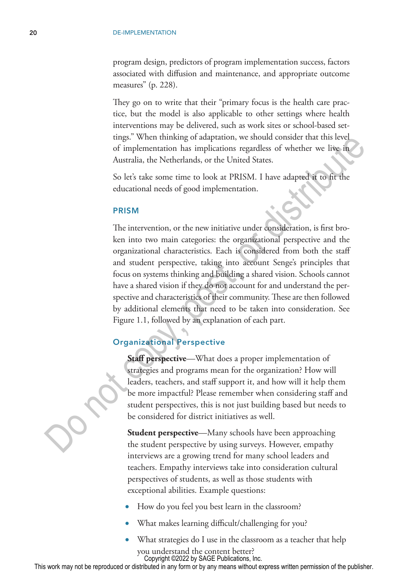program design, predictors of program implementation success, factors associated with diffusion and maintenance, and appropriate outcome measures" (p. 228).

They go on to write that their "primary focus is the health care practice, but the model is also applicable to other settings where health interventions may be delivered, such as work sites or school-based settings." When thinking of adaptation, we should consider that this level of implementation has implications regardless of whether we live in Australia, the Netherlands, or the United States.

So let's take some time to look at PRISM. I have adapted it to fit the educational needs of good implementation.

#### PRISM

The intervention, or the new initiative under consideration, is first broken into two main categories: the organizational perspective and the organizational characteristics. Each is considered from both the staff and student perspective, taking into account Senge's principles that focus on systems thinking and building a shared vision. Schools cannot have a shared vision if they do not account for and understand the perspective and characteristics of their community. These are then followed by additional elements that need to be taken into consideration. See Figure 1.1, followed by an explanation of each part. The minimaling of adaptation, we should consider that this level<br>of implementation has implications regardless of whether we live in<br>Australia, the Netherlands, or the United States.<br>So let's take some time to look at PRIS

# Organizational Perspective

**Staff perspective**—What does a proper implementation of strategies and programs mean for the organization? How will leaders, teachers, and staff support it, and how will it help them be more impactful? Please remember when considering staff and student perspectives, this is not just building based but needs to be considered for district initiatives as well.

**Student perspective**—Many schools have been approaching the student perspective by using surveys. However, empathy interviews are a growing trend for many school leaders and teachers. Empathy interviews take into consideration cultural perspectives of students, as well as those students with exceptional abilities. Example questions:

- How do you feel you best learn in the classroom?
- What makes learning difficult/challenging for you?
- What strategies do I use in the classroom as a teacher that help you understand the content better? Copyright ©2022 by SAGE Publications, Inc.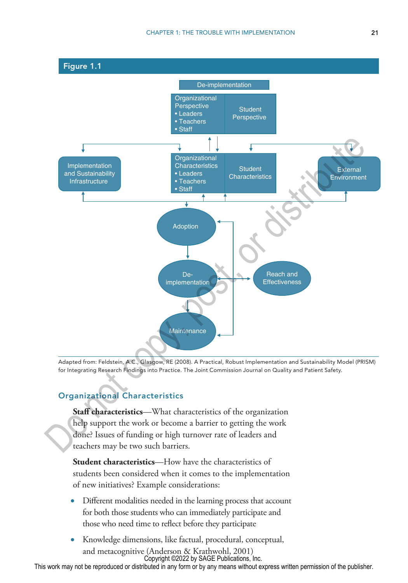

Adapted from: Feldstein, A.C., Glasgow, RE (2008). A Practical, Robust Implementation and Sustainability Model (PRISM) for Integrating Research Findings into Practice. The Joint Commission Journal on Quality and Patient Safety.

# Organizational Characteristics

**Staff characteristics**—What characteristics of the organization help support the work or become a barrier to getting the work done? Issues of funding or high turnover rate of leaders and teachers may be two such barriers.

**Student characteristics**—How have the characteristics of students been considered when it comes to the implementation of new initiatives? Example considerations:

- Different modalities needed in the learning process that account for both those students who can immediately participate and those who need time to reflect before they participate
- Knowledge dimensions, like factual, procedural, conceptual, and metacognitive (Anderson & Krathwohl, 2001) Copyright ©2022 by SAGE Publications, Inc.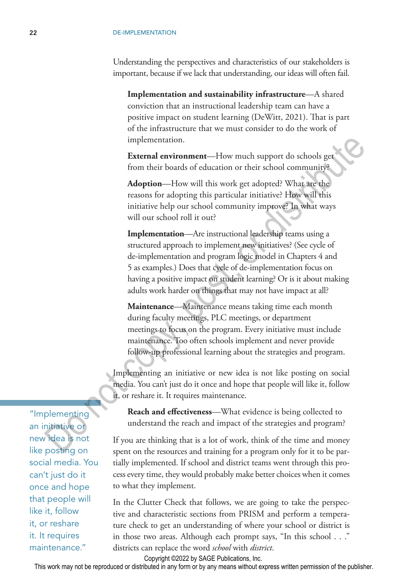Understanding the perspectives and characteristics of our stakeholders is important, because if we lack that understanding, our ideas will often fail.

**Implementation and sustainability infrastructure**—A shared conviction that an instructional leadership team can have a positive impact on student learning (DeWitt, 2021). That is part of the infrastructure that we must consider to do the work of implementation.

**External environment**—How much support do schools get from their boards of education or their school community?

**Adoption**—How will this work get adopted? What are the reasons for adopting this particular initiative? How will this initiative help our school community improve? In what ways will our school roll it out?

**Implementation**—Are instructional leadership teams using a structured approach to implement new initiatives? (See cycle of de-implementation and program logic model in Chapters 4 and 5 as examples.) Does that cycle of de-implementation focus on having a positive impact on student learning? Or is it about making adults work harder on things that may not have impact at all? implementation.<br> **Extremal environment**—How much support do schools get<br>
from their boards of education or their school community?<br> **Adoption**—How will this work get adopted? What are the<br>
reasons for adopting this particu

**Maintenance**—Maintenance means taking time each month during faculty meetings, PLC meetings, or department meetings to focus on the program. Every initiative must include maintenance. Too often schools implement and never provide follow-up professional learning about the strategies and program.

Implementing an initiative or new idea is not like posting on social media. You can't just do it once and hope that people will like it, follow it, or reshare it. It requires maintenance.

**Reach and effectiveness**—What evidence is being collected to understand the reach and impact of the strategies and program?

If you are thinking that is a lot of work, think of the time and money spent on the resources and training for a program only for it to be partially implemented. If school and district teams went through this process every time, they would probably make better choices when it comes to what they implement.

In the Clutter Check that follows, we are going to take the perspective and characteristic sections from PRISM and perform a temperature check to get an understanding of where your school or district is in those two areas. Although each prompt says, "In this school . . ." districts can replace the word *school* with *district*.

Copyright ©2022 by SAGE Publications, Inc.

This work may not be reproduced or distributed in any form or by any means without express written permission of the publisher.

"Implementing an initiative or new idea is not like posting on social media. You can't just do it once and hope that people will like it, follow it, or reshare it. It requires maintenance."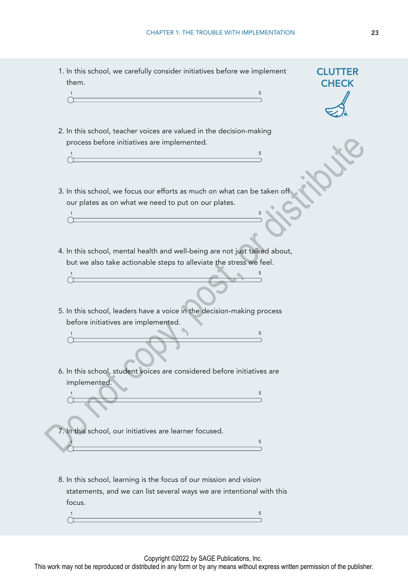1. In this school, we carefully consider initiatives before we implement them.

- 2. In this school, teacher voices are valued in the decision-making process before initiatives are implemented. 1 **1**
- 3. In this school, we focus our efforts as much on what can be taken off our plates as on what we need to put on our plates.

1 **1** 

1 **b**  $\sim$  5  $\sim$  5  $\sim$  5  $\sim$  5  $\sim$  5  $\sim$  5  $\sim$  5  $\sim$  5  $\sim$  5  $\sim$  5  $\sim$  5  $\sim$  5  $\sim$  5  $\sim$  5  $\sim$  5  $\sim$  5  $\sim$  5  $\sim$  5  $\sim$  5  $\sim$  5  $\sim$  5  $\sim$  5  $\sim$  5  $\sim$  5  $\sim$  5  $\sim$  5  $\sim$  5  $\sim$  5  $\sim$  5  $\sim$  5  $\sim$ 

- 4. In this school, mental health and well-being are not just talked about, but we also take actionable steps to alleviate the stress we feel.
- 5. In this school, leaders have a voice in the decision-making process before initiatives are implemented. Do not copy, post, or distribute

1 **1**  $\mathbf{S} = \begin{bmatrix} 1 & 0 \\ 0 & 1 \end{bmatrix}$ 

6. In this school, student voices are considered before initiatives are implemented.

 $1 \hspace{2.5cm} 5$ 

7. In this school, our initiatives are learner focused. 1 **1** 

8. In this school, learning is the focus of our mission and vision statements, and we can list several ways we are intentional with this focus.

1 **1** ↷

Copyright ©2022 by SAGE Publications, Inc.

This work may not be reproduced or distributed in any form or by any means without express written permission of the publisher.

**CLUTTER CHECK**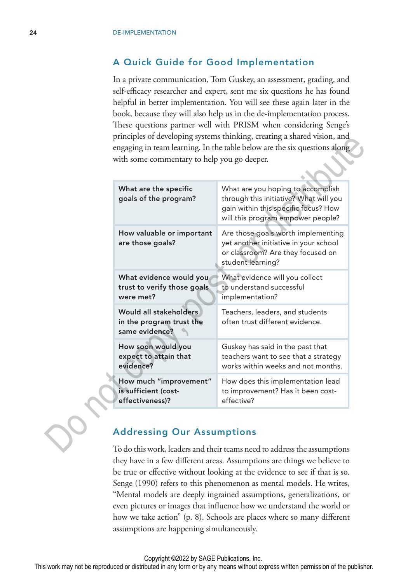# A Quick Guide for Good Implementation

In a private communication, Tom Guskey, an assessment, grading, and self-efficacy researcher and expert, sent me six questions he has found helpful in better implementation. You will see these again later in the book, because they will also help us in the de-implementation process. These questions partner well with PRISM when considering Senge's principles of developing systems thinking, creating a shared vision, and engaging in team learning. In the table below are the six questions along with some commentary to help you go deeper.

| What are the specific<br>goals of the program?                        | What are you hoping to accomplish<br>through this initiative? What will you<br>gain within this specific focus? How<br>will this program empower people? |
|-----------------------------------------------------------------------|----------------------------------------------------------------------------------------------------------------------------------------------------------|
| How valuable or important<br>are those goals?                         | Are those goals worth implementing<br>yet another initiative in your school<br>or classroom? Are they focused on<br>student learning?                    |
| What evidence would you                                               | What evidence will you collect                                                                                                                           |
| trust to verify those goals                                           | to understand successful                                                                                                                                 |
| were met?                                                             | implementation?                                                                                                                                          |
| Would all stakeholders.<br>in the program trust the<br>same evidence? | Teachers, leaders, and students<br>often trust different evidence.                                                                                       |
| How soon would you                                                    | Guskey has said in the past that                                                                                                                         |
| expect to attain that                                                 | teachers want to see that a strategy                                                                                                                     |
| evidence?                                                             | works within weeks and not months.                                                                                                                       |
| How much "improvement"                                                | How does this implementation lead                                                                                                                        |
| is sufficient (cost-                                                  | to improvement? Has it been cost-                                                                                                                        |
| effectiveness)?                                                       | effective?                                                                                                                                               |

# Addressing Our Assumptions

To do this work, leaders and their teams need to address the assumptions they have in a few different areas. Assumptions are things we believe to be true or effective without looking at the evidence to see if that is so. Senge (1990) refers to this phenomenon as mental models. He writes, "Mental models are deeply ingrained assumptions, generalizations, or even pictures or images that influence how we understand the world or how we take action" (p. 8). Schools are places where so many different assumptions are happening simultaneously.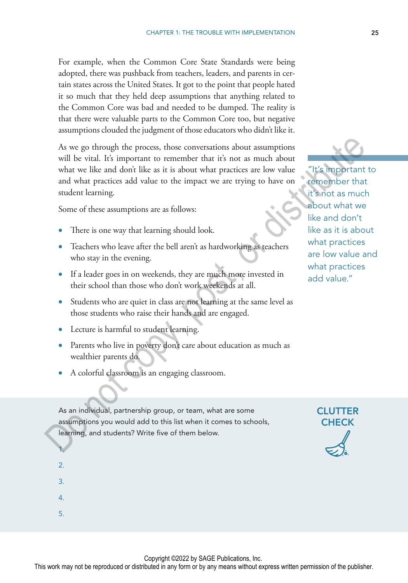For example, when the Common Core State Standards were being adopted, there was pushback from teachers, leaders, and parents in certain states across the United States. It got to the point that people hated it so much that they held deep assumptions that anything related to the Common Core was bad and needed to be dumped. The reality is that there were valuable parts to the Common Core too, but negative assumptions clouded the judgment of those educators who didn't like it.

As we go through the process, those conversations about assumptions will be vital. It's important to remember that it's not as much about what we like and don't like as it is about what practices are low value and what practices add value to the impact we are trying to have on student learning. As we go through the process, those conversations about assumptions<br>
will be vital. It's important to remember that it's not as much about<br>
what we like and dont like as it is about what practices are low value and what p

Some of these assumptions are as follows:

- There is one way that learning should look.
- Teachers who leave after the bell aren't as hardworking as teachers who stay in the evening.
- If a leader goes in on weekends, they are much more invested in their school than those who don't work weekends at all.
- Students who are quiet in class are not learning at the same level as those students who raise their hands and are engaged.
- Lecture is harmful to student learning.
- Parents who live in poverty don't care about education as much as wealthier parents do.
- A colorful classroom is an engaging classroom.

As an individual, partnership group, or team, what are some assumptions you would add to this list when it comes to schools, learning, and students? Write five of them below.

about what we like and don't like as it is about what practices are low value and what practices add value."

"It's important to remember that it's not as much

> **CLUTTER CHECK**

1.  $\overline{2}$ 

5.

3.

4.

Copyright ©2022 by SAGE Publications, Inc.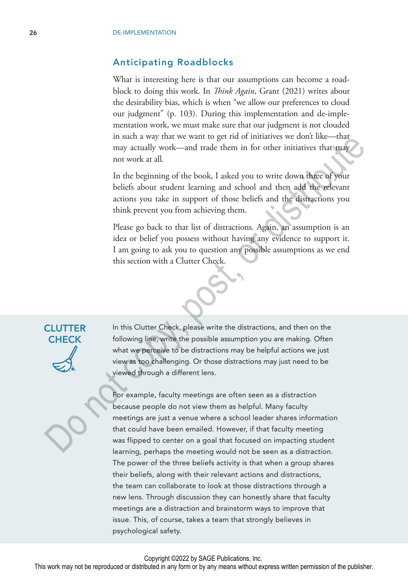# Anticipating Roadblocks

What is interesting here is that our assumptions can become a roadblock to doing this work. In *Think Again*, Grant (2021) writes about the desirability bias, which is when "we allow our preferences to cloud our judgment" (p. 103). During this implementation and de-implementation work, we must make sure that our judgment is not clouded in such a way that we want to get rid of initiatives we don't like—that may actually work—and trade them in for other initiatives that may not work at all.

In the beginning of the book, I asked you to write down three of your beliefs about student learning and school and then add the relevant actions you take in support of those beliefs and the distractions you think prevent you from achieving them.

Please go back to that list of distractions. Again, an assumption is an idea or belief you possess without having any evidence to support it. I am going to ask you to question any possible assumptions as we end this section with a Clutter Check.



# **CLUTTER** CHECK

In this Clutter Check, please write the distractions, and then on the following line, write the possible assumption you are making. Often what we perceive to be distractions may be helpful actions we just view as too challenging. Or those distractions may just need to be viewed through a different lens.

For example, faculty meetings are often seen as a distraction because people do not view them as helpful. Many faculty meetings are just a venue where a school leader shares information that could have been emailed. However, if that faculty meeting was flipped to center on a goal that focused on impacting student learning, perhaps the meeting would not be seen as a distraction. The power of the three beliefs activity is that when a group shares their beliefs, along with their relevant actions and distractions, the team can collaborate to look at those distractions through a new lens. Through discussion they can honestly share that faculty meetings are a distraction and brainstorm ways to improve that issue. This, of course, takes a team that strongly believes in psychological safety. In such a way tract we want to get no or mutatives we dont insert<br>may a actually work—and trade them in for other initiatives that may<br>not work at all.<br>In the beginning of the book, I asked you to write down these of your<br>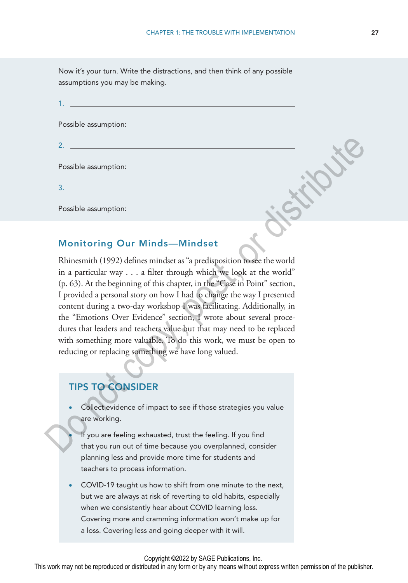Now it's your turn. Write the distractions, and then think of any possible assumptions you may be making.

|  | Possible assumption: |  |  |  |
|--|----------------------|--|--|--|

Possible assumption:

3.

2.

Possible assumption:

# Monitoring Our Minds—Mindset

Rhinesmith (1992) defines mindset as "a predisposition to see the world in a particular way . . . a filter through which we look at the world" (p. 63). At the beginning of this chapter, in the "Case in Point" section, I provided a personal story on how I had to change the way I presented content during a two-day workshop I was facilitating. Additionally, in the "Emotions Over Evidence" section, I wrote about several procedures that leaders and teachers value but that may need to be replaced with something more valuable. To do this work, we must be open to reducing or replacing something we have long valued. 2.<br>
Possible assumption:<br>
3.<br>
Possible assumption:<br>
3.<br>
Monitoring Our Minds—Mindset<br>
Rhinesmith (1992) defines mindset as "a predisposition to see the world<br>
in a particular way ... a filter through which we look at the

# TIPS TO CONSIDER

- Collect evidence of impact to see if those strategies you value are working.
	- If you are feeling exhausted, trust the feeling. If you find that you run out of time because you overplanned, consider planning less and provide more time for students and teachers to process information.
- COVID-19 taught us how to shift from one minute to the next, but we are always at risk of reverting to old habits, especially when we consistently hear about COVID learning loss. Covering more and cramming information won't make up for a loss. Covering less and going deeper with it will.

Copyright ©2022 by SAGE Publications, Inc.